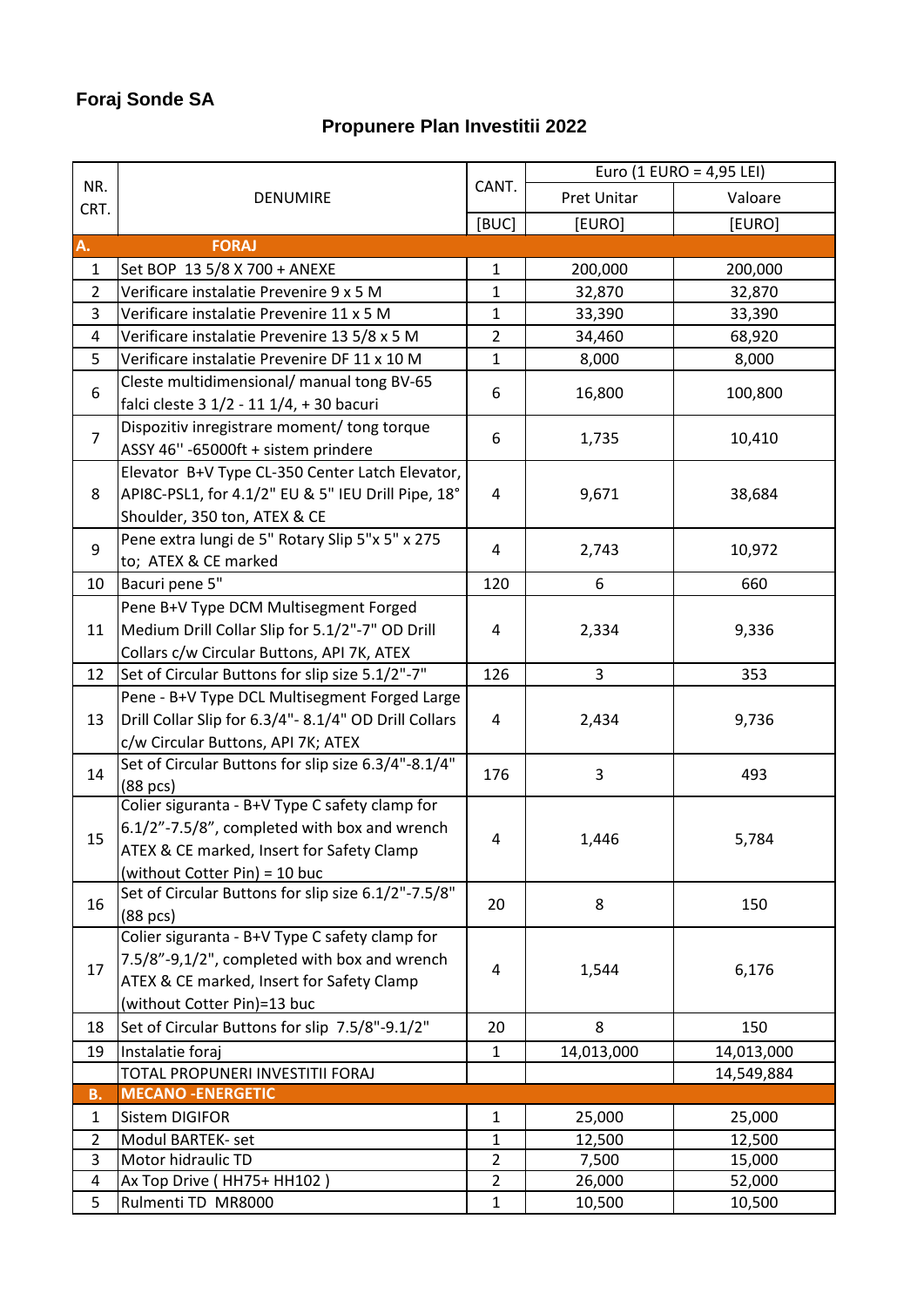## **Foraj Sonde SA**

## **Propunere Plan Investitii 2022**

| NR.<br>CRT.    | DENUMIRE                                              | CANT.          | Euro (1 EURO = 4,95 LEI) |            |
|----------------|-------------------------------------------------------|----------------|--------------------------|------------|
|                |                                                       |                | Pret Unitar              | Valoare    |
|                |                                                       | [BUC]          | [EURO]                   | [EURO]     |
| A.             | <b>FORAJ</b>                                          |                |                          |            |
| $\mathbf{1}$   | Set BOP 13 5/8 X 700 + ANEXE                          | $\mathbf{1}$   | 200,000                  | 200,000    |
| $\overline{2}$ | Verificare instalatie Prevenire 9 x 5 M               | 1              | 32,870                   | 32,870     |
| 3              | Verificare instalatie Prevenire 11 x 5 M              | $\mathbf{1}$   | 33,390                   | 33,390     |
| 4              | Verificare instalatie Prevenire 13 5/8 x 5 M          | $\overline{2}$ | 34,460                   | 68,920     |
| 5              | Verificare instalatie Prevenire DF 11 x 10 M          | 1              | 8,000                    | 8,000      |
| 6              | Cleste multidimensional/ manual tong BV-65            |                |                          |            |
|                | falci cleste 3 1/2 - 11 1/4, + 30 bacuri              | 6              | 16,800                   | 100,800    |
| $\overline{7}$ | Dispozitiv inregistrare moment/ tong torque           |                |                          |            |
|                | ASSY 46" -65000ft + sistem prindere                   | 6              | 1,735                    | 10,410     |
| 8              | Elevator B+V Type CL-350 Center Latch Elevator,       |                |                          |            |
|                | API8C-PSL1, for 4.1/2" EU & 5" IEU Drill Pipe, 18°    | 4              | 9,671                    | 38,684     |
|                | Shoulder, 350 ton, ATEX & CE                          |                |                          |            |
| 9              | Pene extra lungi de 5" Rotary Slip 5"x 5" x 275       | 4              | 2,743                    | 10,972     |
|                | to; ATEX & CE marked                                  |                |                          |            |
| 10             | Bacuri pene 5"                                        | 120            | 6                        | 660        |
|                | Pene B+V Type DCM Multisegment Forged                 |                |                          |            |
| 11             | Medium Drill Collar Slip for 5.1/2"-7" OD Drill       | 4              | 2,334                    | 9,336      |
|                | Collars c/w Circular Buttons, API 7K, ATEX            |                |                          |            |
| 12             | Set of Circular Buttons for slip size 5.1/2"-7"       | 126            | 3                        | 353        |
| 13             | Pene - B+V Type DCL Multisegment Forged Large         |                |                          |            |
|                | Drill Collar Slip for 6.3/4"- 8.1/4" OD Drill Collars | 4              | 2,434                    | 9,736      |
|                | c/w Circular Buttons, API 7K; ATEX                    |                |                          |            |
| 14             | Set of Circular Buttons for slip size 6.3/4"-8.1/4"   | 176            | 3                        | 493        |
|                | (88 pcs)                                              |                |                          |            |
|                | Colier siguranta - B+V Type C safety clamp for        |                |                          |            |
| 15             | 6.1/2"-7.5/8", completed with box and wrench          | 4              | 1,446                    | 5,784      |
|                | ATEX & CE marked, Insert for Safety Clamp             |                |                          |            |
|                | (without Cotter Pin) = 10 buc                         |                |                          |            |
| 16             | Set of Circular Buttons for slip size 6.1/2"-7.5/8"   | 20             | 8                        | 150        |
|                | (88 pcs)                                              |                |                          |            |
|                | Colier siguranta - B+V Type C safety clamp for        |                |                          |            |
| 17             | 7.5/8"-9,1/2", completed with box and wrench          | 4              | 1,544                    | 6,176      |
|                | ATEX & CE marked, Insert for Safety Clamp             |                |                          |            |
|                | (without Cotter Pin)=13 buc                           |                |                          |            |
| 18             | Set of Circular Buttons for slip 7.5/8"-9.1/2"        | 20             | 8                        | 150        |
| 19             | Instalatie foraj                                      | $\mathbf{1}$   | 14,013,000               | 14,013,000 |
|                | TOTAL PROPUNERI INVESTITII FORAJ                      |                |                          | 14,549,884 |
| <b>B.</b>      | <b>MECANO - ENERGETIC</b>                             |                |                          |            |
| 1              | Sistem DIGIFOR                                        | $\mathbf{1}$   | 25,000                   | 25,000     |
| $\overline{2}$ | Modul BARTEK- set                                     | 1              | 12,500                   | 12,500     |
| 3              | Motor hidraulic TD                                    | $\overline{2}$ | 7,500                    | 15,000     |
| 4              | Ax Top Drive (HH75+ HH102)                            | $\overline{2}$ | 26,000                   | 52,000     |
| 5              | Rulmenti TD MR8000                                    | 1              | 10,500                   | 10,500     |